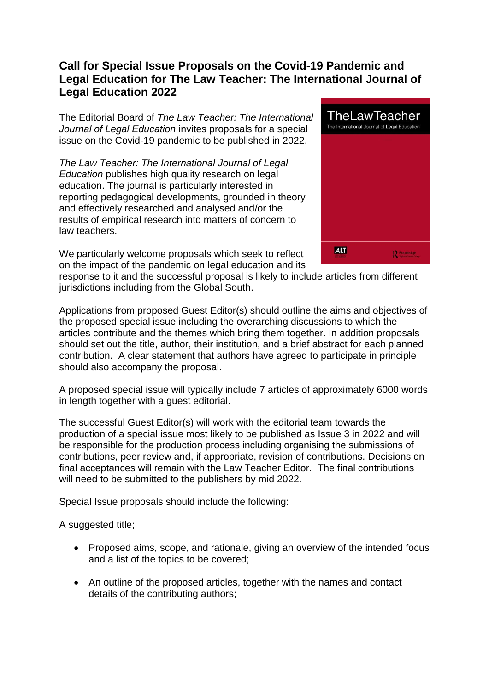## **Call for Special Issue Proposals on the Covid-19 Pandemic and Legal Education for The Law Teacher: The International Journal of Legal Education 2022**

The Editorial Board of *The Law Teacher: The International Journal of Legal Education* invites proposals for a special issue on the Covid-19 pandemic to be published in 2022.

*The Law Teacher: The International Journal of Legal Education* publishes high quality research on legal education. The journal is particularly interested in reporting pedagogical developments, grounded in theory and effectively researched and analysed and/or the results of empirical research into matters of concern to law teachers.

We particularly welcome proposals which seek to reflect on the impact of the pandemic on legal education and its



response to it and the successful proposal is likely to include articles from different jurisdictions including from the Global South.

Applications from proposed Guest Editor(s) should outline the aims and objectives of the proposed special issue including the overarching discussions to which the articles contribute and the themes which bring them together. In addition proposals should set out the title, author, their institution, and a brief abstract for each planned contribution. A clear statement that authors have agreed to participate in principle should also accompany the proposal.

A proposed special issue will typically include 7 articles of approximately 6000 words in length together with a guest editorial.

The successful Guest Editor(s) will work with the editorial team towards the production of a special issue most likely to be published as Issue 3 in 2022 and will be responsible for the production process including organising the submissions of contributions, peer review and, if appropriate, revision of contributions. Decisions on final acceptances will remain with the Law Teacher Editor. The final contributions will need to be submitted to the publishers by mid 2022.

Special Issue proposals should include the following:

A suggested title;

- Proposed aims, scope, and rationale, giving an overview of the intended focus and a list of the topics to be covered;
- An outline of the proposed articles, together with the names and contact details of the contributing authors;